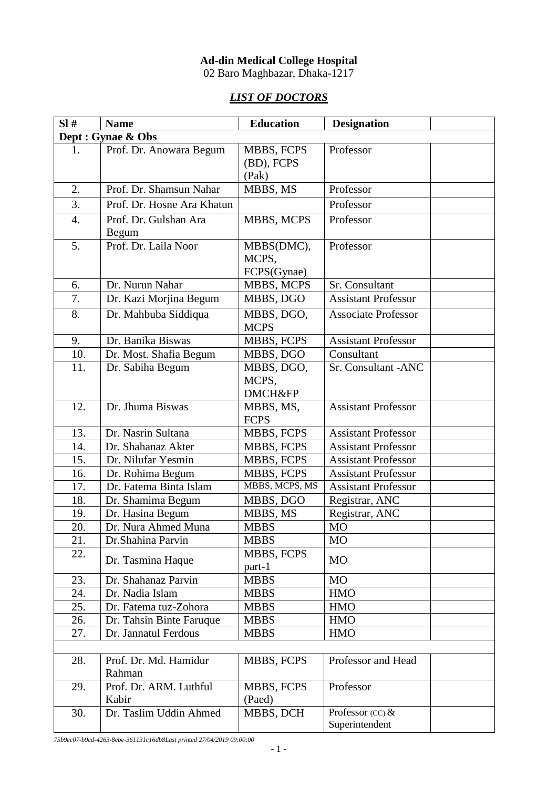## **Ad-din Medical College Hospital**

02 Baro Maghbazar, Dhaka-1217

## *LIST OF DOCTORS*

| SI#              | <b>Name</b>                                | <b>Education</b>             | <b>Designation</b>          |
|------------------|--------------------------------------------|------------------------------|-----------------------------|
|                  | Dept : Gynae & Obs                         |                              |                             |
| 1.               | Prof. Dr. Anowara Begum                    | MBBS, FCPS                   | Professor                   |
|                  |                                            | (BD), FCPS                   |                             |
|                  |                                            | (Pak)                        |                             |
| 2.               | Prof. Dr. Shamsun Nahar                    | MBBS, MS                     | Professor                   |
| 3.               | Prof. Dr. Hosne Ara Khatun                 |                              | Professor                   |
| $\overline{4}$ . | Prof. Dr. Gulshan Ara                      | MBBS, MCPS                   | Professor                   |
|                  | Begum                                      |                              |                             |
| 5.               | Prof. Dr. Laila Noor                       | MBBS(DMC),                   | Professor                   |
|                  |                                            | MCPS,                        |                             |
|                  |                                            | FCPS(Gynae)                  |                             |
| 6.               | Dr. Nurun Nahar                            | MBBS, MCPS                   | Sr. Consultant              |
| 7.               | Dr. Kazi Morjina Begum                     | MBBS, DGO                    | <b>Assistant Professor</b>  |
| 8.               | Dr. Mahbuba Siddiqua                       | MBBS, DGO,                   | <b>Associate Professor</b>  |
|                  |                                            | <b>MCPS</b>                  |                             |
| 9.               | Dr. Banika Biswas                          | MBBS, FCPS                   | <b>Assistant Professor</b>  |
| 10.              | Dr. Most. Shafia Begum                     | MBBS, DGO                    | Consultant                  |
| 11.              | Dr. Sabiha Begum                           | MBBS, DGO,                   | Sr. Consultant - ANC        |
|                  |                                            | MCPS,                        |                             |
|                  |                                            | <b>DMCH&amp;FP</b>           |                             |
| 12.              | Dr. Jhuma Biswas                           | MBBS, MS,                    | <b>Assistant Professor</b>  |
|                  |                                            | <b>FCPS</b>                  |                             |
| 13.              | Dr. Nasrin Sultana                         | MBBS, FCPS                   | <b>Assistant Professor</b>  |
| 14.              | Dr. Shahanaz Akter                         | <b>MBBS, FCPS</b>            | <b>Assistant Professor</b>  |
| 15.              | Dr. Nilufar Yesmin                         | MBBS, FCPS                   | <b>Assistant Professor</b>  |
| 16.              | Dr. Rohima Begum<br>Dr. Fatema Binta Islam | MBBS, FCPS<br>MBBS, MCPS, MS | <b>Assistant Professor</b>  |
| 17.<br>18.       |                                            |                              | <b>Assistant Professor</b>  |
|                  | Dr. Shamima Begum                          | MBBS, DGO                    | Registrar, ANC              |
| 19.              | Dr. Hasina Begum<br>Dr. Nura Ahmed Muna    | MBBS, MS                     | Registrar, ANC<br><b>MO</b> |
| 20.<br>21.       |                                            | <b>MBBS</b><br><b>MBBS</b>   | M <sub>O</sub>              |
| 22.              | Dr.Shahina Parvin                          | <b>MBBS, FCPS</b>            |                             |
|                  | Dr. Tasmina Haque                          | part-1                       | <b>MO</b>                   |
| 23.              | Dr. Shahanaz Parvin                        | <b>MBBS</b>                  | <b>MO</b>                   |
| 24.              | Dr. Nadia Islam                            | <b>MBBS</b>                  | <b>HMO</b>                  |
| 25.              | Dr. Fatema tuz-Zohora                      | <b>MBBS</b>                  | <b>HMO</b>                  |
| 26.              | Dr. Tahsin Binte Faruque                   | <b>MBBS</b>                  | <b>HMO</b>                  |
| 27.              | Dr. Jannatul Ferdous                       | <b>MBBS</b>                  | <b>HMO</b>                  |
|                  |                                            |                              |                             |
| 28.              | Prof. Dr. Md. Hamidur                      | MBBS, FCPS                   | Professor and Head          |
|                  | Rahman                                     |                              |                             |
| 29.              | Prof. Dr. ARM. Luthful                     | MBBS, FCPS                   | Professor                   |
|                  | Kabir                                      | (Paed)                       |                             |
| 30.              | Dr. Taslim Uddin Ahmed                     | MBBS, DCH                    | Professor $(CC)$ &          |
|                  |                                            |                              | Superintendent              |

*75b9ec07-b9cd-4263-8ebe-361131c16db8Last printed 27/04/2019 09:00:00*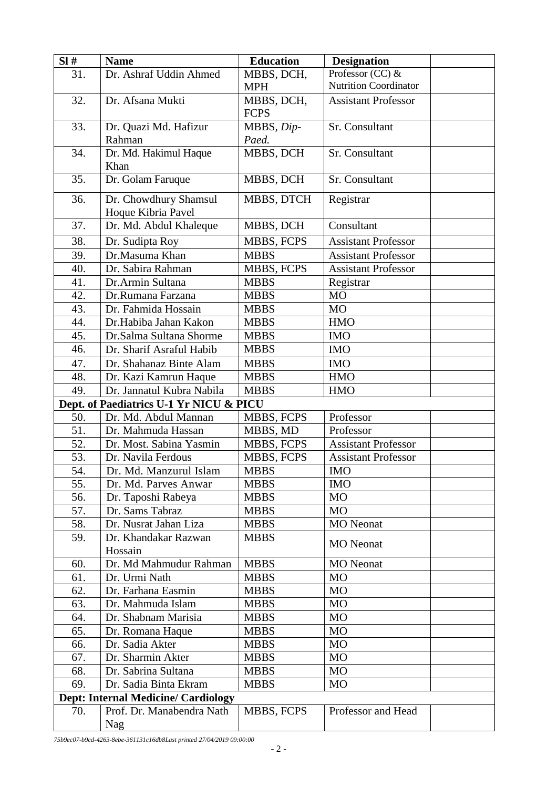| SI# | <b>Name</b>                                | <b>Education</b>  | <b>Designation</b>           |  |
|-----|--------------------------------------------|-------------------|------------------------------|--|
| 31. | Dr. Ashraf Uddin Ahmed                     | MBBS, DCH,        | Professor (CC) &             |  |
|     |                                            | <b>MPH</b>        | <b>Nutrition Coordinator</b> |  |
| 32. | Dr. Afsana Mukti                           | MBBS, DCH,        | <b>Assistant Professor</b>   |  |
|     |                                            | <b>FCPS</b>       |                              |  |
| 33. | Dr. Quazi Md. Hafizur                      | MBBS, Dip-        | Sr. Consultant               |  |
|     | Rahman                                     | Paed.             |                              |  |
| 34. | Dr. Md. Hakimul Haque                      | MBBS, DCH         | Sr. Consultant               |  |
|     | Khan                                       |                   |                              |  |
| 35. | Dr. Golam Faruque                          | MBBS, DCH         | Sr. Consultant               |  |
| 36. | Dr. Chowdhury Shamsul                      | MBBS, DTCH        | Registrar                    |  |
|     | Hoque Kibria Pavel                         |                   |                              |  |
| 37. | Dr. Md. Abdul Khaleque                     | MBBS, DCH         | Consultant                   |  |
| 38. | Dr. Sudipta Roy                            | MBBS, FCPS        | <b>Assistant Professor</b>   |  |
| 39. | Dr.Masuma Khan                             | <b>MBBS</b>       | <b>Assistant Professor</b>   |  |
| 40. | Dr. Sabira Rahman                          | MBBS, FCPS        | <b>Assistant Professor</b>   |  |
| 41. | Dr.Armin Sultana                           | <b>MBBS</b>       | Registrar                    |  |
| 42. | Dr.Rumana Farzana                          | <b>MBBS</b>       | MO                           |  |
| 43. | Dr. Fahmida Hossain                        | <b>MBBS</b>       | MO                           |  |
| 44. | Dr.Habiba Jahan Kakon                      | <b>MBBS</b>       | <b>HMO</b>                   |  |
| 45. | Dr.Salma Sultana Shorme                    | <b>MBBS</b>       | <b>IMO</b>                   |  |
| 46. | Dr. Sharif Asraful Habib                   | <b>MBBS</b>       | <b>IMO</b>                   |  |
| 47. | Dr. Shahanaz Binte Alam                    | <b>MBBS</b>       | <b>IMO</b>                   |  |
| 48. | Dr. Kazi Kamrun Haque                      | <b>MBBS</b>       | <b>HMO</b>                   |  |
| 49. | Dr. Jannatul Kubra Nabila                  | <b>MBBS</b>       | <b>HMO</b>                   |  |
|     | Dept. of Paediatrics U-1 Yr NICU & PICU    |                   |                              |  |
| 50. | Dr. Md. Abdul Mannan                       | <b>MBBS, FCPS</b> | Professor                    |  |
| 51. | Dr. Mahmuda Hassan                         | MBBS, MD          | Professor                    |  |
| 52. | Dr. Most. Sabina Yasmin                    | MBBS, FCPS        | <b>Assistant Professor</b>   |  |
| 53. | Dr. Navila Ferdous                         | MBBS, FCPS        | <b>Assistant Professor</b>   |  |
| 54. | Dr. Md. Manzurul Islam                     | <b>MBBS</b>       | <b>IMO</b>                   |  |
| 55. | Dr. Md. Parves Anwar                       | <b>MBBS</b>       | <b>IMO</b>                   |  |
| 56. | Dr. Taposhi Rabeya                         | <b>MBBS</b>       | <b>MO</b>                    |  |
| 57. | Dr. Sams Tabraz                            | <b>MBBS</b>       | <b>MO</b>                    |  |
| 58. | Dr. Nusrat Jahan Liza                      | <b>MBBS</b>       | <b>MO</b> Neonat             |  |
| 59. | Dr. Khandakar Razwan<br>Hossain            | <b>MBBS</b>       | <b>MO</b> Neonat             |  |
| 60. | Dr. Md Mahmudur Rahman                     | <b>MBBS</b>       | <b>MO</b> Neonat             |  |
| 61. | Dr. Urmi Nath                              | <b>MBBS</b>       | <b>MO</b>                    |  |
| 62. | Dr. Farhana Easmin                         | <b>MBBS</b>       | M <sub>O</sub>               |  |
| 63. | Dr. Mahmuda Islam                          | <b>MBBS</b>       | M <sub>O</sub>               |  |
| 64. | Dr. Shabnam Marisia                        | <b>MBBS</b>       | MO                           |  |
| 65. | Dr. Romana Haque                           | <b>MBBS</b>       | <b>MO</b>                    |  |
| 66. | Dr. Sadia Akter                            | <b>MBBS</b>       | M <sub>O</sub>               |  |
| 67. | Dr. Sharmin Akter                          | <b>MBBS</b>       | MO                           |  |
| 68. | Dr. Sabrina Sultana                        | <b>MBBS</b>       | M <sub>O</sub>               |  |
| 69. | Dr. Sadia Binta Ekram                      | <b>MBBS</b>       | M <sub>O</sub>               |  |
|     | <b>Dept: Internal Medicine/ Cardiology</b> |                   |                              |  |
| 70. | Prof. Dr. Manabendra Nath                  | MBBS, FCPS        | Professor and Head           |  |
|     | Nag                                        |                   |                              |  |
|     |                                            |                   |                              |  |

*75b9ec07-b9cd-4263-8ebe-361131c16db8Last printed 27/04/2019 09:00:00*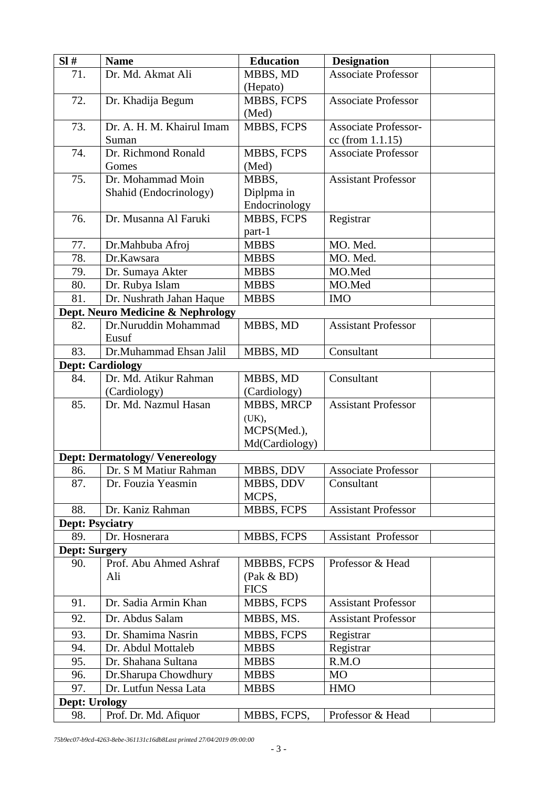| SI#                    | <b>Name</b>                           | <b>Education</b>   | <b>Designation</b>          |
|------------------------|---------------------------------------|--------------------|-----------------------------|
| 71.                    | Dr. Md. Akmat Ali                     | MBBS, MD           | <b>Associate Professor</b>  |
|                        |                                       | (Hepato)           |                             |
| 72.                    | Dr. Khadija Begum                     | MBBS, FCPS         | <b>Associate Professor</b>  |
|                        |                                       | (Med)              |                             |
| 73.                    | Dr. A. H. M. Khairul Imam             | MBBS, FCPS         | <b>Associate Professor-</b> |
|                        | Suman                                 |                    | cc (from 1.1.15)            |
| 74.                    | Dr. Richmond Ronald                   | MBBS, FCPS         | <b>Associate Professor</b>  |
|                        | Gomes                                 | (Med)              |                             |
| 75.                    | Dr. Mohammad Moin                     | MBBS,              | <b>Assistant Professor</b>  |
|                        | Shahid (Endocrinology)                | Diplpma in         |                             |
|                        |                                       | Endocrinology      |                             |
| 76.                    | Dr. Musanna Al Faruki                 | MBBS, FCPS         | Registrar                   |
|                        |                                       | part-1             |                             |
| 77.                    | Dr.Mahbuba Afroj                      | <b>MBBS</b>        | MO. Med.                    |
| 78.                    | Dr.Kawsara                            | <b>MBBS</b>        | MO. Med.                    |
| 79.                    | Dr. Sumaya Akter                      | <b>MBBS</b>        | MO.Med                      |
| 80.                    | Dr. Rubya Islam                       | <b>MBBS</b>        | MO.Med                      |
| 81.                    | Dr. Nushrath Jahan Haque              | <b>MBBS</b>        | <b>IMO</b>                  |
|                        | Dept. Neuro Medicine & Nephrology     |                    |                             |
| 82.                    | Dr.Nuruddin Mohammad<br>Eusuf         | MBBS, MD           | <b>Assistant Professor</b>  |
| 83.                    | Dr.Muhammad Ehsan Jalil               | MBBS, MD           | Consultant                  |
|                        | <b>Dept: Cardiology</b>               |                    |                             |
| 84.                    | Dr. Md. Atikur Rahman                 | MBBS, MD           | Consultant                  |
|                        | (Cardiology)                          | (Cardiology)       |                             |
| 85.                    | Dr. Md. Nazmul Hasan                  | MBBS, MRCP         | <b>Assistant Professor</b>  |
|                        |                                       | (UK),              |                             |
|                        |                                       | MCPS(Med.),        |                             |
|                        |                                       | Md(Cardiology)     |                             |
|                        | <b>Dept: Dermatology/ Venereology</b> |                    |                             |
| 86.                    | Dr. S M Matiur Rahman                 | MBBS, DDV          | <b>Associate Professor</b>  |
| 87.                    | Dr. Fouzia Yeasmin                    | MBBS, DDV          | Consultant                  |
|                        |                                       | MCPS,              |                             |
| 88.                    | Dr. Kaniz Rahman                      | MBBS, FCPS         | <b>Assistant Professor</b>  |
| <b>Dept: Psyciatry</b> |                                       |                    |                             |
| 89.                    | Dr. Hosnerara                         | MBBS, FCPS         | <b>Assistant Professor</b>  |
| <b>Dept: Surgery</b>   |                                       |                    |                             |
| 90.                    | Prof. Abu Ahmed Ashraf                | <b>MBBBS, FCPS</b> | Professor & Head            |
|                        | Ali                                   | (Pak & BD)         |                             |
|                        |                                       | <b>FICS</b>        |                             |
| 91.                    | Dr. Sadia Armin Khan                  | MBBS, FCPS         | <b>Assistant Professor</b>  |
| 92.                    | Dr. Abdus Salam                       | MBBS, MS.          | <b>Assistant Professor</b>  |
| 93.                    | Dr. Shamima Nasrin                    | MBBS, FCPS         | Registrar                   |
| 94.                    | Dr. Abdul Mottaleb                    | <b>MBBS</b>        | Registrar                   |
| 95.                    | Dr. Shahana Sultana                   | <b>MBBS</b>        | R.M.O                       |
| 96.                    | Dr.Sharupa Chowdhury                  | <b>MBBS</b>        | MO                          |
| 97.                    | Dr. Lutfun Nessa Lata                 | <b>MBBS</b>        | <b>HMO</b>                  |
| Dept: Urology          |                                       |                    |                             |
| 98.                    | Prof. Dr. Md. Afiquor                 | MBBS, FCPS,        | Professor & Head            |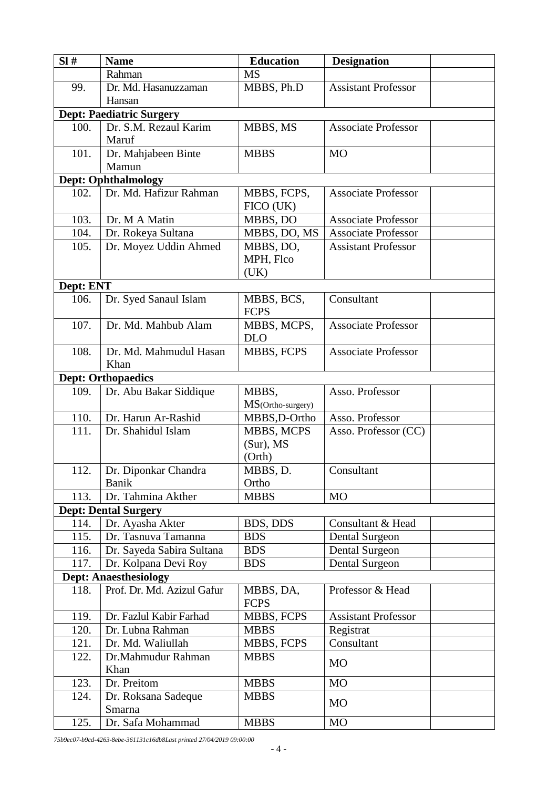| SI#                          | <b>Name</b>                     | <b>Education</b>          | <b>Designation</b>         |  |
|------------------------------|---------------------------------|---------------------------|----------------------------|--|
|                              | Rahman                          | <b>MS</b>                 |                            |  |
| 99.                          | Dr. Md. Hasanuzzaman            | MBBS, Ph.D                | <b>Assistant Professor</b> |  |
|                              | Hansan                          |                           |                            |  |
|                              | <b>Dept: Paediatric Surgery</b> |                           |                            |  |
| 100.                         | Dr. S.M. Rezaul Karim           | MBBS, MS                  | <b>Associate Professor</b> |  |
|                              | Maruf                           |                           |                            |  |
| 101.                         | Dr. Mahjabeen Binte             | <b>MBBS</b>               | M <sub>O</sub>             |  |
|                              | Mamun                           |                           |                            |  |
|                              | <b>Dept: Ophthalmology</b>      |                           |                            |  |
| 102.                         | Dr. Md. Hafizur Rahman          | MBBS, FCPS,               | <b>Associate Professor</b> |  |
|                              |                                 | FICO (UK)                 |                            |  |
| 103.                         | Dr. M A Matin                   | MBBS, DO                  | <b>Associate Professor</b> |  |
| 104.                         | Dr. Rokeya Sultana              | MBBS, DO, MS              | <b>Associate Professor</b> |  |
| 105.                         | Dr. Moyez Uddin Ahmed           | MBBS, DO,                 | <b>Assistant Professor</b> |  |
|                              |                                 | MPH, Flco                 |                            |  |
|                              |                                 | (UK)                      |                            |  |
| Dept: ENT                    |                                 |                           |                            |  |
| 106.                         | Dr. Syed Sanaul Islam           | MBBS, BCS,<br><b>FCPS</b> | Consultant                 |  |
| 107.                         | Dr. Md. Mahbub Alam             | MBBS, MCPS,               | <b>Associate Professor</b> |  |
|                              |                                 | <b>DLO</b>                |                            |  |
| 108.                         | Dr. Md. Mahmudul Hasan          | MBBS, FCPS                | <b>Associate Professor</b> |  |
|                              | Khan                            |                           |                            |  |
|                              | <b>Dept: Orthopaedics</b>       |                           |                            |  |
| 109.                         | Dr. Abu Bakar Siddique          | MBBS,                     | Asso. Professor            |  |
|                              |                                 | MS(Ortho-surgery)         |                            |  |
| 110.                         | Dr. Harun Ar-Rashid             | MBBS,D-Ortho              | Asso. Professor            |  |
| 111.                         | Dr. Shahidul Islam              | MBBS, MCPS                | Asso. Professor (CC)       |  |
|                              |                                 | $(Sur)$ , MS<br>(Orth)    |                            |  |
| 112.                         | Dr. Diponkar Chandra            | MBBS, D.                  | Consultant                 |  |
|                              | Banik                           | Ortho                     |                            |  |
| 113.                         | Dr. Tahmina Akther              | <b>MBBS</b>               | <b>MO</b>                  |  |
|                              | <b>Dept: Dental Surgery</b>     |                           |                            |  |
| 114.                         | Dr. Ayasha Akter                | BDS, DDS                  | Consultant & Head          |  |
| 115.                         | Dr. Tasnuva Tamanna             | <b>BDS</b>                | Dental Surgeon             |  |
| 116.                         | Dr. Sayeda Sabira Sultana       | <b>BDS</b>                | Dental Surgeon             |  |
| 117.                         | Dr. Kolpana Devi Roy            | <b>BDS</b>                | Dental Surgeon             |  |
| <b>Dept: Anaesthesiology</b> |                                 |                           |                            |  |
| 118.                         | Prof. Dr. Md. Azizul Gafur      | MBBS, DA,                 | Professor & Head           |  |
|                              |                                 | <b>FCPS</b>               |                            |  |
| 119.                         | Dr. Fazlul Kabir Farhad         | MBBS, FCPS                | <b>Assistant Professor</b> |  |
| 120.                         | Dr. Lubna Rahman                | <b>MBBS</b>               | Registrat                  |  |
| 121.                         | Dr. Md. Waliullah               | MBBS, FCPS                | Consultant                 |  |
| 122.                         | Dr.Mahmudur Rahman              | <b>MBBS</b>               |                            |  |
|                              | Khan                            |                           | M <sub>O</sub>             |  |
| 123.                         | Dr. Preitom                     | <b>MBBS</b>               | M <sub>O</sub>             |  |
| 124.                         | Dr. Roksana Sadeque             | <b>MBBS</b>               |                            |  |
|                              | Smarna                          |                           | M <sub>O</sub>             |  |
| 125.                         | Dr. Safa Mohammad               | <b>MBBS</b>               | M <sub>O</sub>             |  |